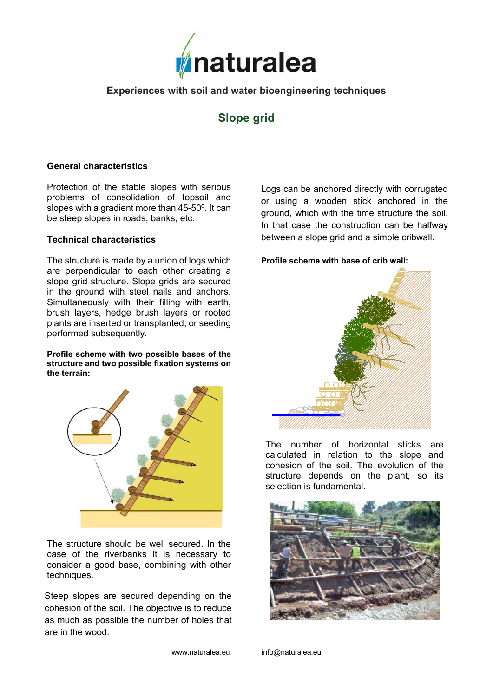

# **Experiences with soil and water bioengineering techniques**

# **Slope grid**

## **General characteristics**

Protection of the stable slopes with serious problems of consolidation of topsoil and slopes with a gradient more than 45-50º. It can be steep slopes in roads, banks, etc.

#### **Technical characteristics**

The structure is made by a union of logs which are perpendicular to each other creating a slope grid structure. Slope grids are secured in the ground with steel nails and anchors. Simultaneously with their filling with earth, brush layers, hedge brush layers or rooted plants are inserted or transplanted, or seeding performed subsequently.

**Profile scheme with two possible bases of the structure and two possible fixation systems on the terrain:** 



The structure should be well secured. In the case of the riverbanks it is necessary to consider a good base, combining with other techniques.

Steep slopes are secured depending on the cohesion of the soil. The objective is to reduce as much as possible the number of holes that are in the wood.

Logs can be anchored directly with corrugated or using a wooden stick anchored in the ground, which with the time structure the soil. In that case the construction can be halfway between a slope grid and a simple cribwall.

#### **Profile scheme with base of crib wall:**



The number of horizontal sticks are calculated in relation to the slope and cohesion of the soil. The evolution of the structure depends on the plant, so its selection is fundamental.